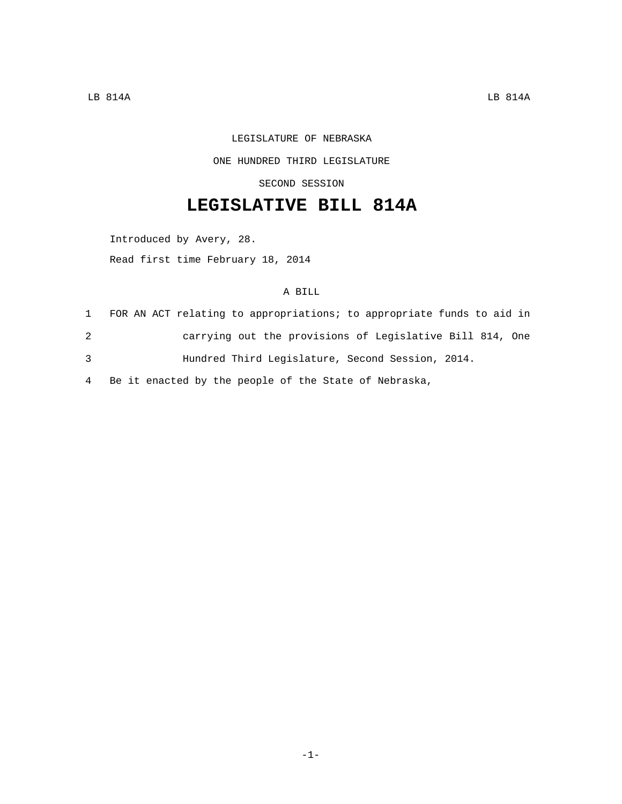## LEGISLATURE OF NEBRASKA ONE HUNDRED THIRD LEGISLATURE

SECOND SESSION

## **LEGISLATIVE BILL 814A**

Introduced by Avery, 28.

Read first time February 18, 2014

## A BILL

|   | FOR AN ACT relating to appropriations; to appropriate funds to aid in |
|---|-----------------------------------------------------------------------|
| 2 | carrying out the provisions of Legislative Bill 814, One              |
| 3 | Hundred Third Legislature, Second Session, 2014.                      |

4 Be it enacted by the people of the State of Nebraska,